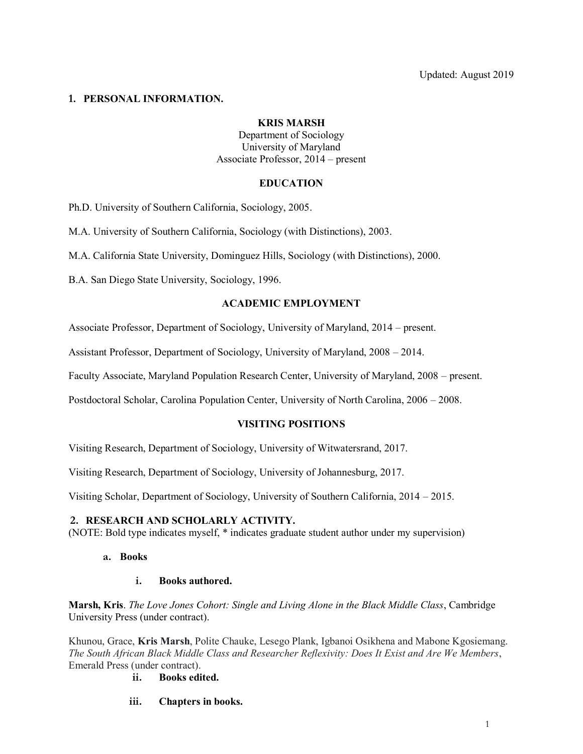## **1. PERSONAL INFORMATION.**

### **KRIS MARSH**

Department of Sociology University of Maryland Associate Professor, 2014 – present

## **EDUCATION**

Ph.D. University of Southern California, Sociology, 2005.

M.A. University of Southern California, Sociology (with Distinctions), 2003.

M.A. California State University, Dominguez Hills, Sociology (with Distinctions), 2000.

B.A. San Diego State University, Sociology, 1996.

## **ACADEMIC EMPLOYMENT**

Associate Professor, Department of Sociology, University of Maryland, 2014 – present.

Assistant Professor, Department of Sociology, University of Maryland, 2008 – 2014.

Faculty Associate, Maryland Population Research Center, University of Maryland, 2008 – present.

Postdoctoral Scholar, Carolina Population Center, University of North Carolina, 2006 – 2008.

# **VISITING POSITIONS**

Visiting Research, Department of Sociology, University of Witwatersrand, 2017.

Visiting Research, Department of Sociology, University of Johannesburg, 2017.

Visiting Scholar, Department of Sociology, University of Southern California, 2014 – 2015.

### **2. RESEARCH AND SCHOLARLY ACTIVITY.**

(NOTE: Bold type indicates myself, \* indicates graduate student author under my supervision)

**a. Books**

### **i. Books authored.**

**Marsh, Kris**. *The Love Jones Cohort: Single and Living Alone in the Black Middle Class*, Cambridge University Press (under contract).

Khunou, Grace, **Kris Marsh**, Polite Chauke, Lesego Plank, Igbanoi Osikhena and Mabone Kgosiemang. *The South African Black Middle Class and Researcher Reflexivity: Does It Exist and Are We Members*, Emerald Press (under contract).

**ii. Books edited.**

**iii. Chapters in books.**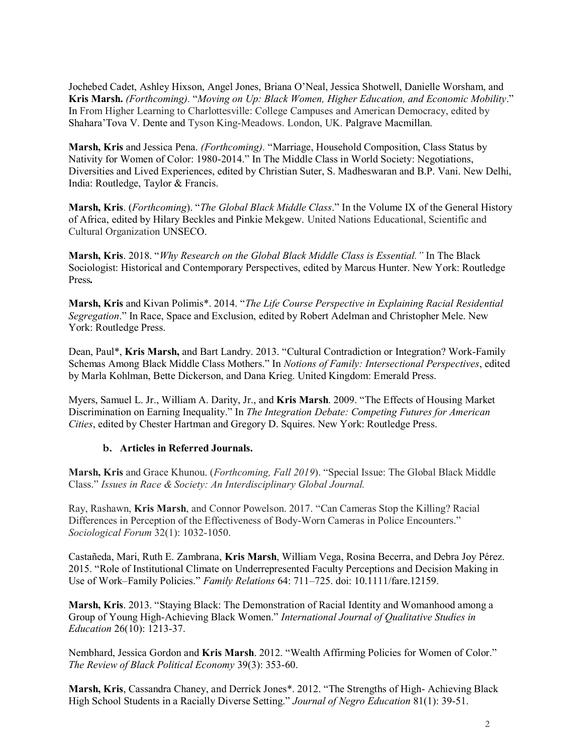Jochebed Cadet, Ashley Hixson, Angel Jones, Briana O'Neal, Jessica Shotwell, Danielle Worsham, and **Kris Marsh.** *(Forthcoming).* "*Moving on Up: Black Women, Higher Education, and Economic Mobility*." In From Higher Learning to Charlottesville: College Campuses and American Democracy, edited by Shahara'Tova V. Dente and Tyson King-Meadows. London, UK. Palgrave Macmillan.

**Marsh, Kris** and Jessica Pena. *(Forthcoming).* "Marriage, Household Composition, Class Status by Nativity for Women of Color: 1980-2014." In The Middle Class in World Society: Negotiations, Diversities and Lived Experiences, edited by Christian Suter, S. Madheswaran and B.P. Vani. New Delhi, India: Routledge, Taylor & Francis.

**Marsh, Kris**. (*Forthcoming*). "*The Global Black Middle Class*." In the Volume IX of the General History of Africa, edited by Hilary Beckles and Pinkie Mekgew. United Nations Educational, Scientific and Cultural Organization UNSECO.

**Marsh, Kris**. 2018. "*Why Research on the Global Black Middle Class is Essential."* In The Black Sociologist: Historical and Contemporary Perspectives, edited by Marcus Hunter. New York: Routledge Press*.*

**Marsh, Kris** and Kivan Polimis\*. 2014. "*The Life Course Perspective in Explaining Racial Residential Segregation*." In Race, Space and Exclusion, edited by Robert Adelman and Christopher Mele. New York: Routledge Press.

Dean, Paul\*, **Kris Marsh,** and Bart Landry. 2013. "Cultural Contradiction or Integration? Work-Family Schemas Among Black Middle Class Mothers." In *Notions of Family: Intersectional Perspectives*, edited by Marla Kohlman, Bette Dickerson, and Dana Krieg. United Kingdom: Emerald Press.

Myers, Samuel L. Jr., William A. Darity, Jr., and **Kris Marsh**. 2009. "The Effects of Housing Market Discrimination on Earning Inequality." In *The Integration Debate: Competing Futures for American Cities*, edited by Chester Hartman and Gregory D. Squires. New York: Routledge Press.

### **b. Articles in Referred Journals.**

**Marsh, Kris** and Grace Khunou. (*Forthcoming, Fall 2019*). "Special Issue: The Global Black Middle Class." *Issues in Race & Society: An Interdisciplinary Global Journal.*

Ray, Rashawn, **Kris Marsh**, and Connor Powelson. 2017. "Can Cameras Stop the Killing? Racial Differences in Perception of the Effectiveness of Body-Worn Cameras in Police Encounters." *Sociological Forum* 32(1): 1032-1050.

Castañeda, Mari, Ruth E. Zambrana, **Kris Marsh**, William Vega, Rosina Becerra, and Debra Joy Pérez. 2015. "Role of Institutional Climate on Underrepresented Faculty Perceptions and Decision Making in Use of Work–Family Policies." *Family Relations* 64: 711–725. doi: 10.1111/fare.12159.

**Marsh, Kris**. 2013. "Staying Black: The Demonstration of Racial Identity and Womanhood among a Group of Young High-Achieving Black Women." *International Journal of Qualitative Studies in Education* 26(10): 1213-37.

Nembhard, Jessica Gordon and **Kris Marsh**. 2012. "Wealth Affirming Policies for Women of Color." *The Review of Black Political Economy* 39(3): 353-60.

**Marsh, Kris**, Cassandra Chaney, and Derrick Jones\*. 2012. "The Strengths of High- Achieving Black High School Students in a Racially Diverse Setting." *Journal of Negro Education* 81(1): 39-51.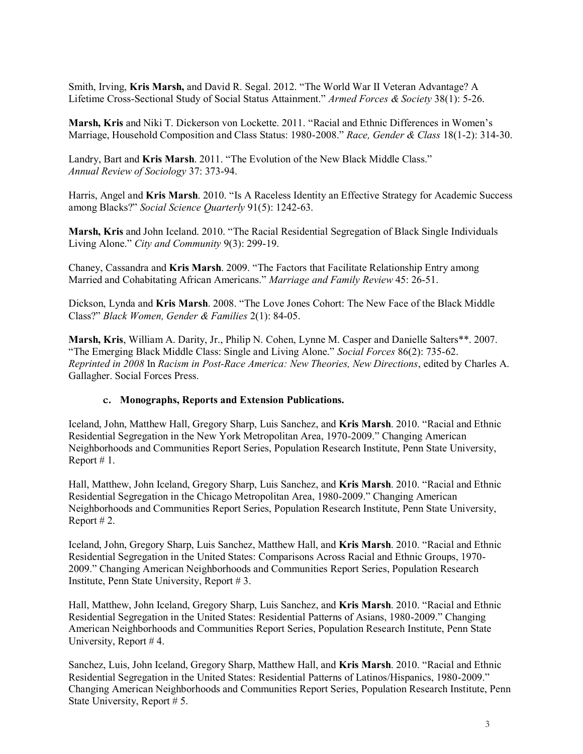Smith, Irving, **Kris Marsh,** and David R. Segal. 2012. "The World War II Veteran Advantage? A Lifetime Cross-Sectional Study of Social Status Attainment." *Armed Forces & Society* 38(1): 5-26.

**Marsh, Kris** and Niki T. Dickerson von Lockette. 2011. "Racial and Ethnic Differences in Women's Marriage, Household Composition and Class Status: 1980-2008." *Race, Gender & Class* 18(1-2): 314-30.

Landry, Bart and **Kris Marsh**. 2011. "The Evolution of the New Black Middle Class." *Annual Review of Sociology* 37: 373-94.

Harris, Angel and **Kris Marsh**. 2010. "Is A Raceless Identity an Effective Strategy for Academic Success among Blacks?" *Social Science Quarterly* 91(5): 1242-63.

**Marsh, Kris** and John Iceland. 2010. "The Racial Residential Segregation of Black Single Individuals Living Alone." *City and Community* 9(3): 299-19.

Chaney, Cassandra and **Kris Marsh**. 2009. "The Factors that Facilitate Relationship Entry among Married and Cohabitating African Americans." *Marriage and Family Review* 45: 26-51.

Dickson, Lynda and **Kris Marsh**. 2008. "The Love Jones Cohort: The New Face of the Black Middle Class?" *Black Women, Gender & Families* 2(1): 84-05.

**Marsh, Kris**, William A. Darity, Jr., Philip N. Cohen, Lynne M. Casper and Danielle Salters\*\*. 2007. "The Emerging Black Middle Class: Single and Living Alone." *Social Forces* 86(2): 735-62. *Reprinted in 2008* In *Racism in Post-Race America: New Theories, New Directions*, edited by Charles A. Gallagher. Social Forces Press.

### **c. Monographs, Reports and Extension Publications.**

Iceland, John, Matthew Hall, Gregory Sharp, Luis Sanchez, and **Kris Marsh**. 2010. "Racial and Ethnic Residential Segregation in the New York Metropolitan Area, 1970-2009." Changing American Neighborhoods and Communities Report Series, Population Research Institute, Penn State University, Report # 1.

Hall, Matthew, John Iceland, Gregory Sharp, Luis Sanchez, and **Kris Marsh**. 2010. "Racial and Ethnic Residential Segregation in the Chicago Metropolitan Area, 1980-2009." Changing American Neighborhoods and Communities Report Series, Population Research Institute, Penn State University, Report # 2.

Iceland, John, Gregory Sharp, Luis Sanchez, Matthew Hall, and **Kris Marsh**. 2010. "Racial and Ethnic Residential Segregation in the United States: Comparisons Across Racial and Ethnic Groups, 1970- 2009." Changing American Neighborhoods and Communities Report Series, Population Research Institute, Penn State University, Report # 3.

Hall, Matthew, John Iceland, Gregory Sharp, Luis Sanchez, and **Kris Marsh**. 2010. "Racial and Ethnic Residential Segregation in the United States: Residential Patterns of Asians, 1980-2009." Changing American Neighborhoods and Communities Report Series, Population Research Institute, Penn State University, Report # 4.

Sanchez, Luis, John Iceland, Gregory Sharp, Matthew Hall, and **Kris Marsh**. 2010. "Racial and Ethnic Residential Segregation in the United States: Residential Patterns of Latinos/Hispanics, 1980-2009." Changing American Neighborhoods and Communities Report Series, Population Research Institute, Penn State University, Report # 5.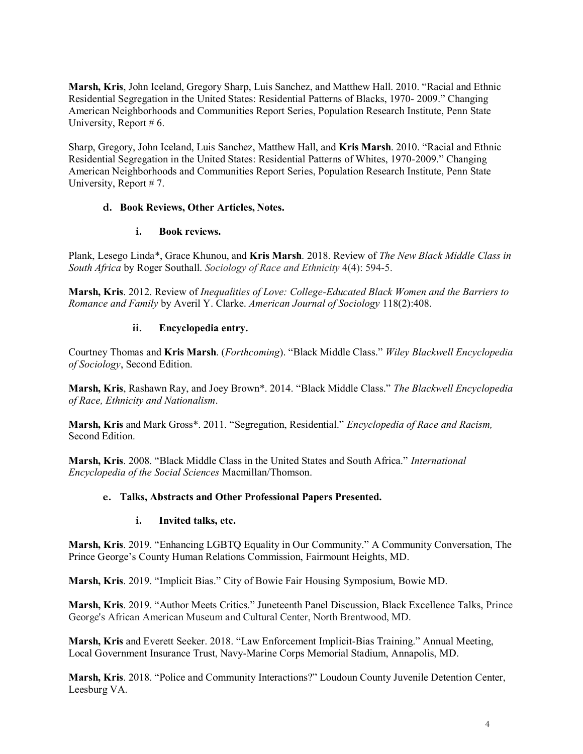**Marsh, Kris**, John Iceland, Gregory Sharp, Luis Sanchez, and Matthew Hall. 2010. "Racial and Ethnic Residential Segregation in the United States: Residential Patterns of Blacks, 1970- 2009." Changing American Neighborhoods and Communities Report Series, Population Research Institute, Penn State University, Report # 6.

Sharp, Gregory, John Iceland, Luis Sanchez, Matthew Hall, and **Kris Marsh**. 2010. "Racial and Ethnic Residential Segregation in the United States: Residential Patterns of Whites, 1970-2009." Changing American Neighborhoods and Communities Report Series, Population Research Institute, Penn State University, Report # 7.

# **d. Book Reviews, Other Articles, Notes.**

## **i. Book reviews.**

Plank, Lesego Linda\*, Grace Khunou, and **Kris Marsh**. 2018. Review of *The New Black Middle Class in South Africa* by Roger Southall. *Sociology of Race and Ethnicity* 4(4): 594-5.

**Marsh, Kris**. 2012. Review of *Inequalities of Love: College-Educated Black Women and the Barriers to Romance and Family* by Averil Y. Clarke. *American Journal of Sociology* 118(2):408.

# **ii. Encyclopedia entry.**

Courtney Thomas and **Kris Marsh**. (*Forthcoming*). "Black Middle Class." *Wiley Blackwell Encyclopedia of Sociology*, Second Edition.

**Marsh, Kris**, Rashawn Ray, and Joey Brown\*. 2014. "Black Middle Class." *The Blackwell Encyclopedia of Race, Ethnicity and Nationalism*.

**Marsh, Kris** and Mark Gross\*. 2011. "Segregation, Residential." *Encyclopedia of Race and Racism,*  Second Edition.

**Marsh, Kris**. 2008. "Black Middle Class in the United States and South Africa." *International Encyclopedia of the Social Sciences* Macmillan/Thomson.

# **e. Talks, Abstracts and Other Professional Papers Presented.**

# **i. Invited talks, etc.**

**Marsh, Kris**. 2019. "Enhancing LGBTQ Equality in Our Community." A Community Conversation, The Prince George's County Human Relations Commission, Fairmount Heights, MD.

**Marsh, Kris**. 2019. "Implicit Bias." City of Bowie Fair Housing Symposium, Bowie MD.

**Marsh, Kris**. 2019. "Author Meets Critics." Juneteenth Panel Discussion, Black Excellence Talks, Prince George's African American Museum and Cultural Center, North Brentwood, MD.

**Marsh, Kris** and Everett Seeker. 2018. "Law Enforcement Implicit-Bias Training." Annual Meeting, Local Government Insurance Trust, Navy-Marine Corps Memorial Stadium, Annapolis, MD.

**Marsh, Kris**. 2018. "Police and Community Interactions?" Loudoun County Juvenile Detention Center, Leesburg VA.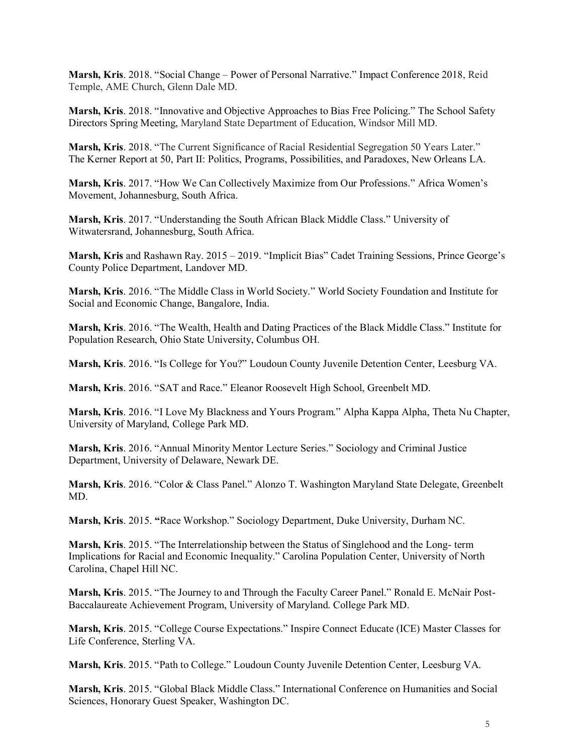**Marsh, Kris**. 2018. "Social Change – Power of Personal Narrative." Impact Conference 2018, Reid Temple, AME Church, Glenn Dale MD.

**Marsh, Kris**. 2018. "Innovative and Objective Approaches to Bias Free Policing." The School Safety Directors Spring Meeting, Maryland State Department of Education, Windsor Mill MD.

**Marsh, Kris**. 2018. "The Current Significance of Racial Residential Segregation 50 Years Later." The Kerner Report at 50, Part II: Politics, Programs, Possibilities, and Paradoxes, New Orleans LA.

**Marsh, Kris**. 2017. "How We Can Collectively Maximize from Our Professions." Africa Women's Movement, Johannesburg, South Africa.

**Marsh, Kris**. 2017. "Understanding the South African Black Middle Class." University of Witwatersrand, Johannesburg, South Africa.

**Marsh, Kris** and Rashawn Ray. 2015 – 2019. "Implicit Bias" Cadet Training Sessions, Prince George's County Police Department, Landover MD.

**Marsh, Kris**. 2016. "The Middle Class in World Society." World Society Foundation and Institute for Social and Economic Change, Bangalore, India.

**Marsh, Kris**. 2016. "The Wealth, Health and Dating Practices of the Black Middle Class." Institute for Population Research, Ohio State University, Columbus OH*.*

**Marsh, Kris**. 2016. "Is College for You?" Loudoun County Juvenile Detention Center, Leesburg VA.

**Marsh, Kris**. 2016. "SAT and Race." Eleanor Roosevelt High School, Greenbelt MD.

**Marsh, Kris**. 2016. "I Love My Blackness and Yours Program." Alpha Kappa Alpha, Theta Nu Chapter, University of Maryland, College Park MD.

**Marsh, Kris**. 2016. "Annual Minority Mentor Lecture Series." Sociology and Criminal Justice Department, University of Delaware, Newark DE.

**Marsh, Kris**. 2016. "Color & Class Panel." Alonzo T. Washington Maryland State Delegate, Greenbelt MD.

**Marsh, Kris**. 2015. **"**Race Workshop." Sociology Department, Duke University, Durham NC.

**Marsh, Kris**. 2015. "The Interrelationship between the Status of Singlehood and the Long- term Implications for Racial and Economic Inequality." Carolina Population Center, University of North Carolina, Chapel Hill NC.

**Marsh, Kris**. 2015. "The Journey to and Through the Faculty Career Panel." Ronald E. McNair Post-Baccalaureate Achievement Program, University of Maryland. College Park MD.

**Marsh, Kris**. 2015. "College Course Expectations." Inspire Connect Educate (ICE) Master Classes for Life Conference, Sterling VA.

**Marsh, Kris**. 2015. "Path to College." Loudoun County Juvenile Detention Center, Leesburg VA.

**Marsh, Kris**. 2015. "Global Black Middle Class." International Conference on Humanities and Social Sciences, Honorary Guest Speaker, Washington DC.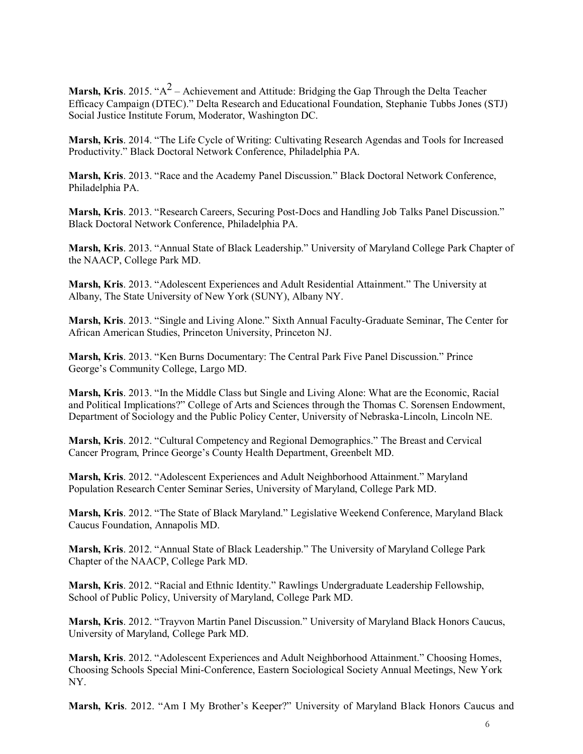**Marsh, Kris**. 2015. " $A^2$  – Achievement and Attitude: Bridging the Gap Through the Delta Teacher Efficacy Campaign (DTEC)." Delta Research and Educational Foundation, Stephanie Tubbs Jones (STJ) Social Justice Institute Forum, Moderator, Washington DC.

**Marsh, Kris**. 2014. "The Life Cycle of Writing: Cultivating Research Agendas and Tools for Increased Productivity." Black Doctoral Network Conference, Philadelphia PA.

**Marsh, Kris**. 2013. "Race and the Academy Panel Discussion." Black Doctoral Network Conference, Philadelphia PA.

**Marsh, Kris**. 2013. "Research Careers, Securing Post-Docs and Handling Job Talks Panel Discussion." Black Doctoral Network Conference, Philadelphia PA.

**Marsh, Kris**. 2013. "Annual State of Black Leadership." University of Maryland College Park Chapter of the NAACP, College Park MD.

**Marsh, Kris**. 2013. "Adolescent Experiences and Adult Residential Attainment." The University at Albany, The State University of New York (SUNY), Albany NY.

**Marsh, Kris**. 2013. "Single and Living Alone." Sixth Annual Faculty-Graduate Seminar, The Center for African American Studies, Princeton University, Princeton NJ.

**Marsh, Kris**. 2013. "Ken Burns Documentary: The Central Park Five Panel Discussion." Prince George's Community College, Largo MD.

**Marsh, Kris**. 2013. "In the Middle Class but Single and Living Alone: What are the Economic, Racial and Political Implications?" College of Arts and Sciences through the Thomas C. Sorensen Endowment, Department of Sociology and the Public Policy Center, University of Nebraska-Lincoln, Lincoln NE.

**Marsh, Kris**. 2012. "Cultural Competency and Regional Demographics." The Breast and Cervical Cancer Program, Prince George's County Health Department, Greenbelt MD.

**Marsh, Kris**. 2012. "Adolescent Experiences and Adult Neighborhood Attainment." Maryland Population Research Center Seminar Series, University of Maryland, College Park MD.

**Marsh, Kris**. 2012. "The State of Black Maryland." Legislative Weekend Conference, Maryland Black Caucus Foundation, Annapolis MD.

**Marsh, Kris**. 2012. "Annual State of Black Leadership." The University of Maryland College Park Chapter of the NAACP, College Park MD.

**Marsh, Kris**. 2012. "Racial and Ethnic Identity." Rawlings Undergraduate Leadership Fellowship, School of Public Policy, University of Maryland, College Park MD.

**Marsh, Kris**. 2012. "Trayvon Martin Panel Discussion." University of Maryland Black Honors Caucus, University of Maryland, College Park MD.

**Marsh, Kris**. 2012. "Adolescent Experiences and Adult Neighborhood Attainment." Choosing Homes, Choosing Schools Special Mini-Conference, Eastern Sociological Society Annual Meetings, New York NY.

**Marsh, Kris**. 2012. "Am I My Brother's Keeper?" University of Maryland Black Honors Caucus and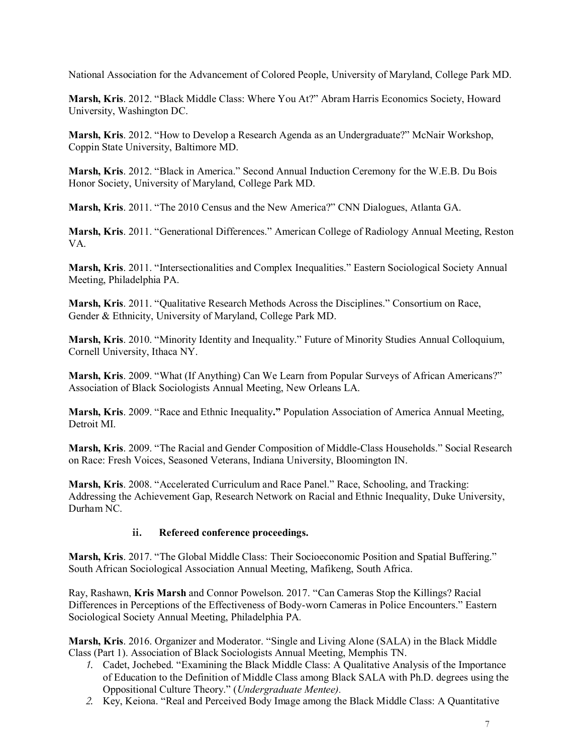National Association for the Advancement of Colored People, University of Maryland, College Park MD.

**Marsh, Kris**. 2012. "Black Middle Class: Where You At?" Abram Harris Economics Society, Howard University, Washington DC.

**Marsh, Kris**. 2012. "How to Develop a Research Agenda as an Undergraduate?" McNair Workshop, Coppin State University, Baltimore MD.

**Marsh, Kris**. 2012. "Black in America." Second Annual Induction Ceremony for the W.E.B. Du Bois Honor Society, University of Maryland, College Park MD.

**Marsh, Kris**. 2011. "The 2010 Census and the New America?" CNN Dialogues, Atlanta GA.

**Marsh, Kris**. 2011. "Generational Differences." American College of Radiology Annual Meeting, Reston VA.

**Marsh, Kris**. 2011. "Intersectionalities and Complex Inequalities." Eastern Sociological Society Annual Meeting, Philadelphia PA.

**Marsh, Kris**. 2011. "Qualitative Research Methods Across the Disciplines." Consortium on Race, Gender & Ethnicity, University of Maryland, College Park MD.

**Marsh, Kris**. 2010. "Minority Identity and Inequality." Future of Minority Studies Annual Colloquium, Cornell University, Ithaca NY.

**Marsh, Kris**. 2009. "What (If Anything) Can We Learn from Popular Surveys of African Americans?" Association of Black Sociologists Annual Meeting, New Orleans LA.

**Marsh, Kris**. 2009. "Race and Ethnic Inequality**."** Population Association of America Annual Meeting, Detroit MI.

**Marsh, Kris**. 2009. "The Racial and Gender Composition of Middle-Class Households." Social Research on Race: Fresh Voices, Seasoned Veterans, Indiana University, Bloomington IN.

**Marsh, Kris**. 2008. "Accelerated Curriculum and Race Panel." Race, Schooling, and Tracking: Addressing the Achievement Gap, Research Network on Racial and Ethnic Inequality, Duke University, Durham NC.

# **ii. Refereed conference proceedings.**

**Marsh, Kris**. 2017. "The Global Middle Class: Their Socioeconomic Position and Spatial Buffering." South African Sociological Association Annual Meeting, Mafikeng, South Africa.

Ray, Rashawn, **Kris Marsh** and Connor Powelson. 2017. "Can Cameras Stop the Killings? Racial Differences in Perceptions of the Effectiveness of Body-worn Cameras in Police Encounters." Eastern Sociological Society Annual Meeting, Philadelphia PA*.*

**Marsh, Kris**. 2016. Organizer and Moderator. "Single and Living Alone (SALA) in the Black Middle Class (Part 1). Association of Black Sociologists Annual Meeting, Memphis TN.

- *1.* Cadet, Jochebed. "Examining the Black Middle Class: A Qualitative Analysis of the Importance of Education to the Definition of Middle Class among Black SALA with Ph.D. degrees using the Oppositional Culture Theory." (*Undergraduate Mentee).*
- *2.* Key, Keiona. "Real and Perceived Body Image among the Black Middle Class: A Quantitative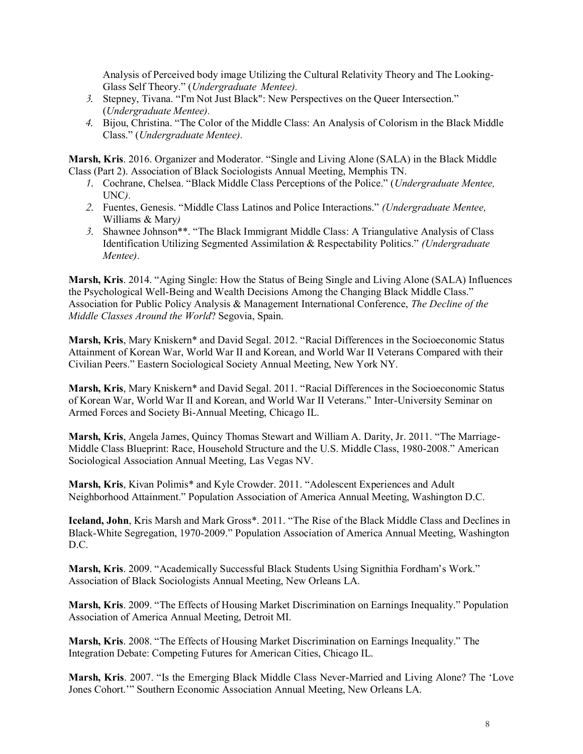Analysis of Perceived body image Utilizing the Cultural Relativity Theory and The Looking-Glass Self Theory." (*Undergraduate Mentee).*

- *3.* Stepney, Tivana. "I'm Not Just Black": New Perspectives on the Queer Intersection." (*Undergraduate Mentee).*
- *4.* Bijou, Christina. "The Color of the Middle Class: An Analysis of Colorism in the Black Middle Class." (*Undergraduate Mentee).*

**Marsh, Kris**. 2016. Organizer and Moderator. "Single and Living Alone (SALA) in the Black Middle Class (Part 2). Association of Black Sociologists Annual Meeting, Memphis TN.

- *1.* Cochrane, Chelsea. "Black Middle Class Perceptions of the Police." (*Undergraduate Mentee,* UNC*).*
- *2.* Fuentes, Genesis. "Middle Class Latinos and Police Interactions." *(Undergraduate Mentee,*  Williams & Mary*)*
- *3.* Shawnee Johnson\*\*. "The Black Immigrant Middle Class: A Triangulative Analysis of Class Identification Utilizing Segmented Assimilation & Respectability Politics." *(Undergraduate Mentee).*

**Marsh, Kris**. 2014. "Aging Single: How the Status of Being Single and Living Alone (SALA) Influences the Psychological Well-Being and Wealth Decisions Among the Changing Black Middle Class." Association for Public Policy Analysis & Management International Conference, *The Decline of the Middle Classes Around the World*? Segovia, Spain.

**Marsh, Kris**, Mary Kniskern\* and David Segal. 2012. "Racial Differences in the Socioeconomic Status Attainment of Korean War, World War II and Korean, and World War II Veterans Compared with their Civilian Peers." Eastern Sociological Society Annual Meeting, New York NY.

**Marsh, Kris**, Mary Kniskern\* and David Segal. 2011. "Racial Differences in the Socioeconomic Status of Korean War, World War II and Korean, and World War II Veterans." Inter-University Seminar on Armed Forces and Society Bi-Annual Meeting, Chicago IL.

**Marsh, Kris**, Angela James, Quincy Thomas Stewart and William A. Darity, Jr. 2011. "The Marriage-Middle Class Blueprint: Race, Household Structure and the U.S. Middle Class, 1980-2008." American Sociological Association Annual Meeting, Las Vegas NV.

**Marsh, Kris**, Kivan Polimis\* and Kyle Crowder. 2011. "Adolescent Experiences and Adult Neighborhood Attainment." Population Association of America Annual Meeting, Washington D.C.

**Iceland, John**, Kris Marsh and Mark Gross\*. 2011. "The Rise of the Black Middle Class and Declines in Black-White Segregation, 1970-2009." Population Association of America Annual Meeting, Washington D.C.

**Marsh, Kris**. 2009. "Academically Successful Black Students Using Signithia Fordham's Work." Association of Black Sociologists Annual Meeting, New Orleans LA.

**Marsh, Kris**. 2009. "The Effects of Housing Market Discrimination on Earnings Inequality." Population Association of America Annual Meeting, Detroit MI.

**Marsh, Kris**. 2008. "The Effects of Housing Market Discrimination on Earnings Inequality." The Integration Debate: Competing Futures for American Cities, Chicago IL.

**Marsh, Kris**. 2007. "Is the Emerging Black Middle Class Never-Married and Living Alone? The 'Love Jones Cohort.'" Southern Economic Association Annual Meeting, New Orleans LA.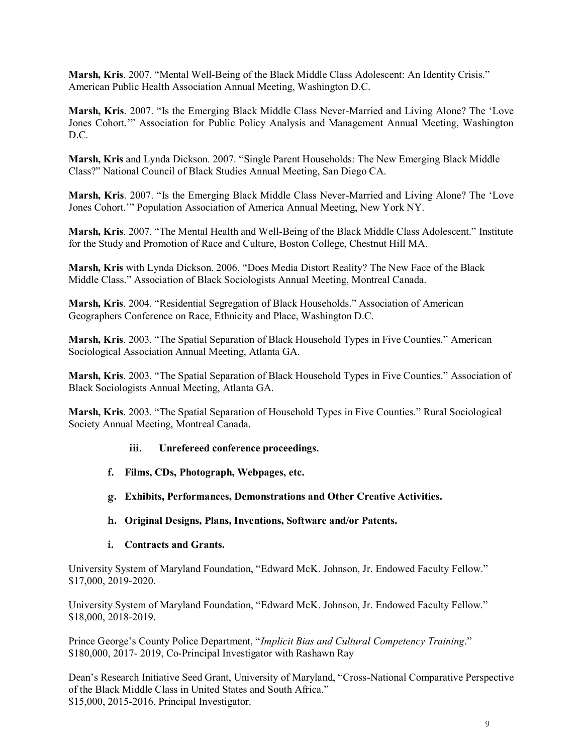**Marsh, Kris**. 2007. "Mental Well-Being of the Black Middle Class Adolescent: An Identity Crisis." American Public Health Association Annual Meeting, Washington D.C.

**Marsh, Kris**. 2007. "Is the Emerging Black Middle Class Never-Married and Living Alone? The 'Love Jones Cohort.'" Association for Public Policy Analysis and Management Annual Meeting, Washington D.C.

**Marsh, Kris** and Lynda Dickson. 2007. "Single Parent Households: The New Emerging Black Middle Class?" National Council of Black Studies Annual Meeting, San Diego CA.

**Marsh, Kris**. 2007. "Is the Emerging Black Middle Class Never-Married and Living Alone? The 'Love Jones Cohort.'" Population Association of America Annual Meeting, New York NY.

**Marsh, Kris**. 2007. "The Mental Health and Well-Being of the Black Middle Class Adolescent." Institute for the Study and Promotion of Race and Culture, Boston College, Chestnut Hill MA.

**Marsh, Kris** with Lynda Dickson. 2006. "Does Media Distort Reality? The New Face of the Black Middle Class." Association of Black Sociologists Annual Meeting, Montreal Canada.

**Marsh, Kris**. 2004. "Residential Segregation of Black Households." Association of American Geographers Conference on Race, Ethnicity and Place, Washington D.C.

**Marsh, Kris**. 2003. "The Spatial Separation of Black Household Types in Five Counties." American Sociological Association Annual Meeting, Atlanta GA.

**Marsh, Kris**. 2003. "The Spatial Separation of Black Household Types in Five Counties." Association of Black Sociologists Annual Meeting, Atlanta GA.

**Marsh, Kris**. 2003. "The Spatial Separation of Household Types in Five Counties." Rural Sociological Society Annual Meeting, Montreal Canada.

### **iii. Unrefereed conference proceedings.**

- **f. Films, CDs, Photograph, Webpages, etc.**
- **g. Exhibits, Performances, Demonstrations and Other Creative Activities.**
- **h. Original Designs, Plans, Inventions, Software and/or Patents.**
- **i. Contracts and Grants.**

University System of Maryland Foundation, "Edward McK. Johnson, Jr. Endowed Faculty Fellow." \$17,000, 2019-2020.

University System of Maryland Foundation, "Edward McK. Johnson, Jr. Endowed Faculty Fellow." \$18,000, 2018-2019.

Prince George's County Police Department, "*Implicit Bias and Cultural Competency Training*." \$180,000, 2017- 2019, Co-Principal Investigator with Rashawn Ray

Dean's Research Initiative Seed Grant, University of Maryland, "Cross-National Comparative Perspective of the Black Middle Class in United States and South Africa." \$15,000, 2015-2016, Principal Investigator.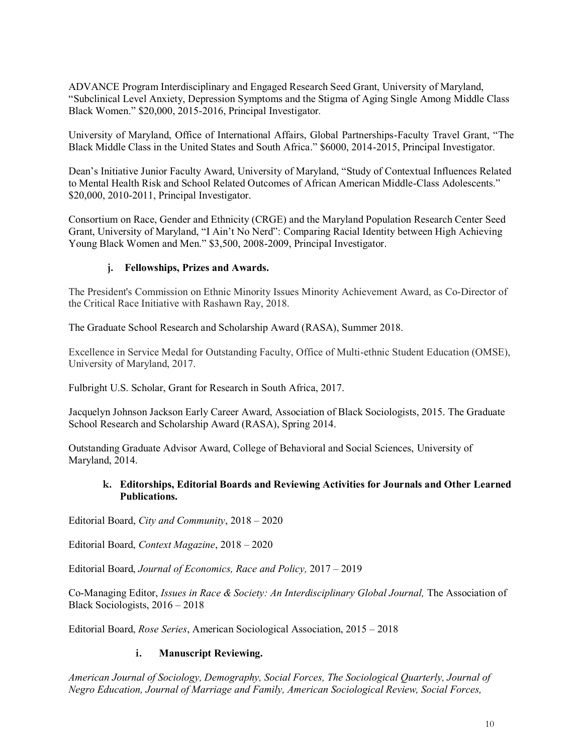ADVANCE Program Interdisciplinary and Engaged Research Seed Grant, University of Maryland, "Subclinical Level Anxiety, Depression Symptoms and the Stigma of Aging Single Among Middle Class Black Women." \$20,000, 2015-2016, Principal Investigator*.*

University of Maryland, Office of International Affairs, Global Partnerships-Faculty Travel Grant, "The Black Middle Class in the United States and South Africa." \$6000, 2014-2015, Principal Investigator.

Dean's Initiative Junior Faculty Award, University of Maryland, "Study of Contextual Influences Related to Mental Health Risk and School Related Outcomes of African American Middle-Class Adolescents." \$20,000, 2010-2011, Principal Investigator.

Consortium on Race, Gender and Ethnicity (CRGE) and the Maryland Population Research Center Seed Grant, University of Maryland, "I Ain't No Nerd": Comparing Racial Identity between High Achieving Young Black Women and Men." \$3,500, 2008-2009, Principal Investigator.

## **j. Fellowships, Prizes and Awards.**

The President's Commission on Ethnic Minority Issues Minority Achievement Award, as Co-Director of the Critical Race Initiative with Rashawn Ray, 2018.

The Graduate School Research and Scholarship Award (RASA), Summer 2018.

Excellence in Service Medal for Outstanding Faculty, Office of Multi-ethnic Student Education (OMSE), University of Maryland, 2017.

Fulbright U.S. Scholar, Grant for Research in South Africa, 2017.

Jacquelyn Johnson Jackson Early Career Award, Association of Black Sociologists, 2015. The Graduate School Research and Scholarship Award (RASA), Spring 2014.

Outstanding Graduate Advisor Award, College of Behavioral and Social Sciences, University of Maryland, 2014.

### **k. Editorships, Editorial Boards and Reviewing Activities for Journals and Other Learned Publications.**

Editorial Board, *City and Community*, 2018 – 2020

Editorial Board, *Context Magazine*, 2018 – 2020

Editorial Board, *Journal of Economics, Race and Policy,* 2017 – 2019

Co-Managing Editor, *Issues in Race & Society: An Interdisciplinary Global Journal,* The Association of Black Sociologists, 2016 – 2018

Editorial Board, *Rose Series*, American Sociological Association, 2015 – 2018

### **i. Manuscript Reviewing.**

*American Journal of Sociology, Demography, Social Forces, The Sociological Quarterly, Journal of Negro Education, Journal of Marriage and Family, American Sociological Review, Social Forces,*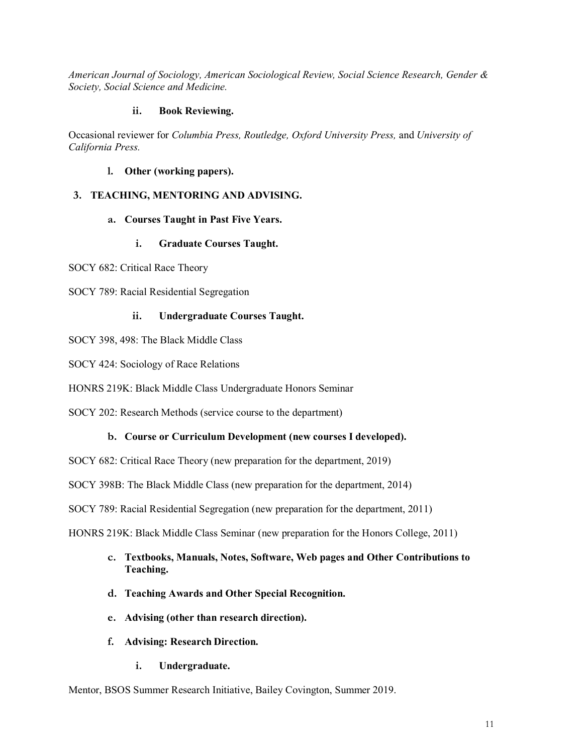*American Journal of Sociology, American Sociological Review, Social Science Research, Gender & Society, Social Science and Medicine.*

## **ii. Book Reviewing.**

Occasional reviewer for *Columbia Press, Routledge, Oxford University Press,* and *University of California Press.*

## **l. Other (working papers).**

## **3. TEACHING, MENTORING AND ADVISING.**

## **a. Courses Taught in Past Five Years.**

## **i. Graduate Courses Taught.**

SOCY 682: Critical Race Theory

SOCY 789: Racial Residential Segregation

## **ii. Undergraduate Courses Taught.**

SOCY 398, 498: The Black Middle Class

SOCY 424: Sociology of Race Relations

HONRS 219K: Black Middle Class Undergraduate Honors Seminar

SOCY 202: Research Methods (service course to the department)

# **b. Course or Curriculum Development (new courses I developed).**

SOCY 682: Critical Race Theory (new preparation for the department, 2019)

SOCY 398B: The Black Middle Class (new preparation for the department, 2014)

SOCY 789: Racial Residential Segregation (new preparation for the department, 2011)

HONRS 219K: Black Middle Class Seminar (new preparation for the Honors College, 2011)

- **c. Textbooks, Manuals, Notes, Software, Web pages and Other Contributions to Teaching.**
- **d. Teaching Awards and Other Special Recognition.**
- **e. Advising (other than research direction).**
- **f. Advising: Research Direction.**
	- **i. Undergraduate.**

Mentor, BSOS Summer Research Initiative, Bailey Covington, Summer 2019.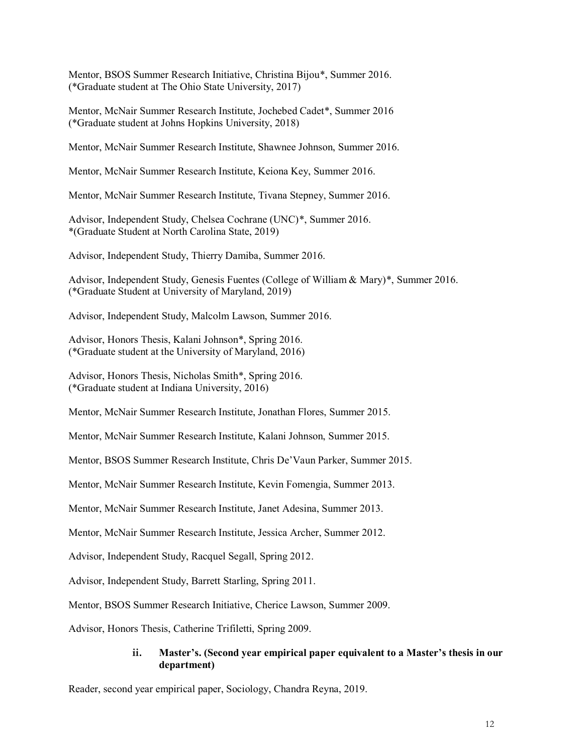Mentor, BSOS Summer Research Initiative, Christina Bijou\*, Summer 2016. (\*Graduate student at The Ohio State University, 2017)

Mentor, McNair Summer Research Institute, Jochebed Cadet\*, Summer 2016 (\*Graduate student at Johns Hopkins University, 2018)

Mentor, McNair Summer Research Institute, Shawnee Johnson, Summer 2016.

Mentor, McNair Summer Research Institute, Keiona Key, Summer 2016.

Mentor, McNair Summer Research Institute, Tivana Stepney, Summer 2016.

Advisor, Independent Study, Chelsea Cochrane (UNC)\*, Summer 2016. \*(Graduate Student at North Carolina State, 2019)

Advisor, Independent Study, Thierry Damiba, Summer 2016.

Advisor, Independent Study, Genesis Fuentes (College of William & Mary)\*, Summer 2016. (\*Graduate Student at University of Maryland, 2019)

Advisor, Independent Study, Malcolm Lawson, Summer 2016.

Advisor, Honors Thesis, Kalani Johnson\*, Spring 2016. (\*Graduate student at the University of Maryland, 2016)

Advisor, Honors Thesis, Nicholas Smith\*, Spring 2016. (\*Graduate student at Indiana University, 2016)

Mentor, McNair Summer Research Institute, Jonathan Flores, Summer 2015.

Mentor, McNair Summer Research Institute, Kalani Johnson, Summer 2015.

Mentor, BSOS Summer Research Institute, Chris De'Vaun Parker, Summer 2015.

Mentor, McNair Summer Research Institute, Kevin Fomengia, Summer 2013.

Mentor, McNair Summer Research Institute, Janet Adesina, Summer 2013.

Mentor, McNair Summer Research Institute, Jessica Archer, Summer 2012.

Advisor, Independent Study, Racquel Segall, Spring 2012.

Advisor, Independent Study, Barrett Starling, Spring 2011.

Mentor, BSOS Summer Research Initiative, Cherice Lawson, Summer 2009.

Advisor, Honors Thesis, Catherine Trifiletti, Spring 2009.

### **ii. Master's. (Second year empirical paper equivalent to a Master's thesis in our department)**

Reader, second year empirical paper, Sociology, Chandra Reyna, 2019.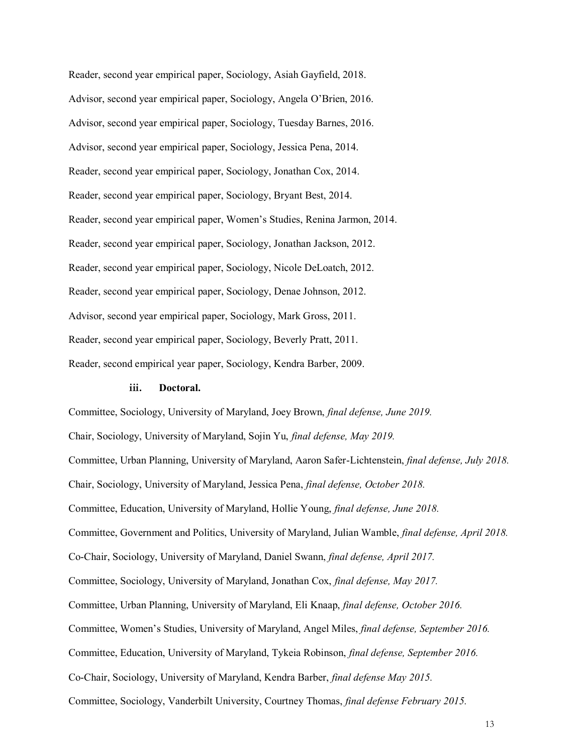Reader, second year empirical paper, Sociology, Asiah Gayfield, 2018. Advisor, second year empirical paper, Sociology, Angela O'Brien, 2016. Advisor, second year empirical paper, Sociology, Tuesday Barnes, 2016. Advisor, second year empirical paper, Sociology, Jessica Pena, 2014. Reader, second year empirical paper, Sociology, Jonathan Cox, 2014. Reader, second year empirical paper, Sociology, Bryant Best, 2014. Reader, second year empirical paper, Women's Studies, Renina Jarmon, 2014. Reader, second year empirical paper, Sociology, Jonathan Jackson, 2012. Reader, second year empirical paper, Sociology, Nicole DeLoatch, 2012. Reader, second year empirical paper, Sociology, Denae Johnson, 2012. Advisor, second year empirical paper, Sociology, Mark Gross, 2011. Reader, second year empirical paper, Sociology, Beverly Pratt, 2011. Reader, second empirical year paper, Sociology, Kendra Barber, 2009.

#### **iii. Doctoral.**

Committee, Sociology, University of Maryland, Joey Brown, *final defense, June 2019.* Chair, Sociology, University of Maryland, Sojin Yu, *final defense, May 2019.* Committee, Urban Planning, University of Maryland, Aaron Safer-Lichtenstein, *final defense, July 2018.* Chair, Sociology, University of Maryland, Jessica Pena, *final defense, October 2018.* Committee, Education, University of Maryland, Hollie Young, *final defense, June 2018.* Committee, Government and Politics, University of Maryland, Julian Wamble, *final defense, April 2018.* Co-Chair, Sociology, University of Maryland, Daniel Swann, *final defense, April 2017.* Committee, Sociology, University of Maryland, Jonathan Cox, *final defense, May 2017.* Committee, Urban Planning, University of Maryland, Eli Knaap, *final defense, October 2016.* Committee, Women's Studies, University of Maryland, Angel Miles, *final defense, September 2016.* Committee, Education, University of Maryland, Tykeia Robinson, *final defense, September 2016.* Co-Chair, Sociology, University of Maryland, Kendra Barber, *final defense May 2015.* Committee, Sociology, Vanderbilt University, Courtney Thomas, *final defense February 2015.*

13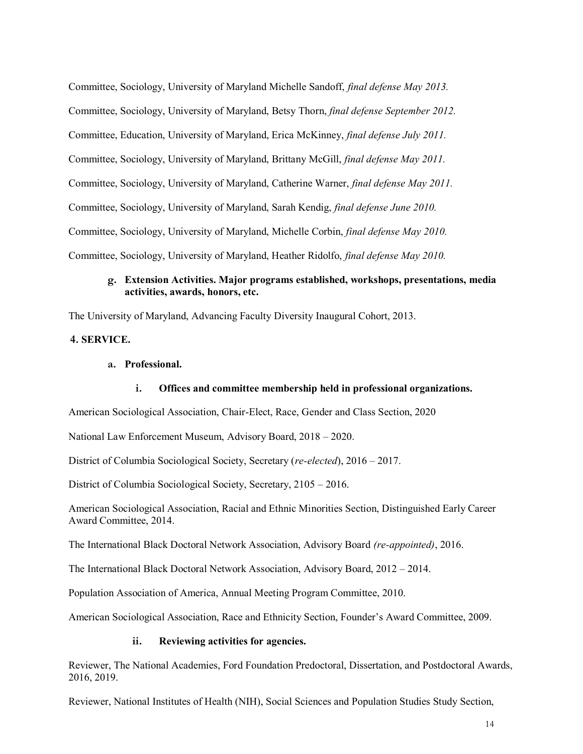Committee, Sociology, University of Maryland Michelle Sandoff, *final defense May 2013.* Committee, Sociology, University of Maryland, Betsy Thorn, *final defense September 2012.* Committee, Education, University of Maryland, Erica McKinney, *final defense July 2011.* Committee, Sociology, University of Maryland, Brittany McGill, *final defense May 2011.* Committee, Sociology, University of Maryland, Catherine Warner, *final defense May 2011.* Committee, Sociology, University of Maryland, Sarah Kendig, *final defense June 2010.* Committee, Sociology, University of Maryland, Michelle Corbin, *final defense May 2010.* Committee, Sociology, University of Maryland, Heather Ridolfo, *final defense May 2010.*

### **g. Extension Activities. Major programs established, workshops, presentations, media activities, awards, honors, etc.**

The University of Maryland, Advancing Faculty Diversity Inaugural Cohort, 2013.

## **4. SERVICE.**

#### **a. Professional.**

## **i. Offices and committee membership held in professional organizations.**

American Sociological Association, Chair-Elect, Race, Gender and Class Section, 2020

National Law Enforcement Museum, Advisory Board, 2018 – 2020.

District of Columbia Sociological Society, Secretary (*re-elected*), 2016 – 2017.

District of Columbia Sociological Society, Secretary, 2105 – 2016.

American Sociological Association, Racial and Ethnic Minorities Section, Distinguished Early Career Award Committee, 2014.

The International Black Doctoral Network Association, Advisory Board *(re-appointed)*, 2016.

The International Black Doctoral Network Association, Advisory Board, 2012 – 2014.

Population Association of America, Annual Meeting Program Committee, 2010.

American Sociological Association, Race and Ethnicity Section, Founder's Award Committee, 2009.

#### **ii. Reviewing activities for agencies.**

Reviewer, The National Academies, Ford Foundation Predoctoral, Dissertation, and Postdoctoral Awards, 2016, 2019.

Reviewer, National Institutes of Health (NIH), Social Sciences and Population Studies Study Section,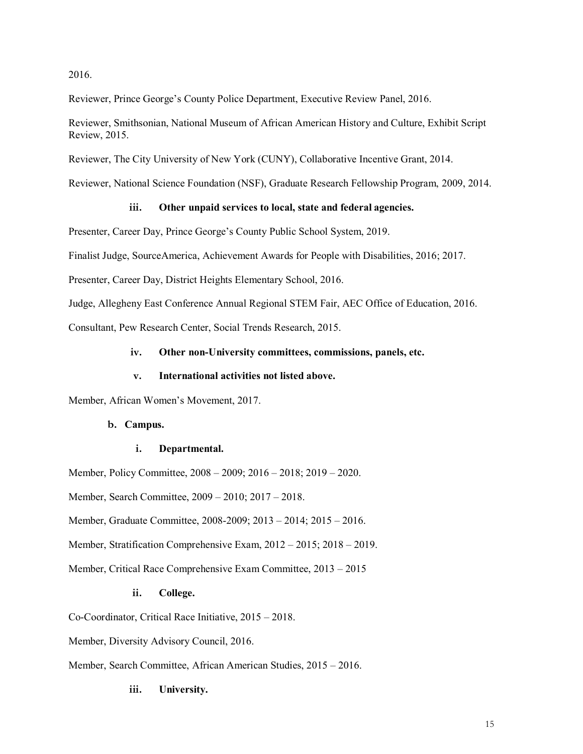#### 2016.

Reviewer, Prince George's County Police Department, Executive Review Panel, 2016.

Reviewer, Smithsonian, National Museum of African American History and Culture, Exhibit Script Review, 2015.

Reviewer, The City University of New York (CUNY), Collaborative Incentive Grant, 2014.

Reviewer, National Science Foundation (NSF), Graduate Research Fellowship Program, 2009, 2014.

### **iii. Other unpaid services to local, state and federal agencies.**

Presenter, Career Day, Prince George's County Public School System, 2019.

Finalist Judge, SourceAmerica, Achievement Awards for People with Disabilities, 2016; 2017.

Presenter, Career Day, District Heights Elementary School, 2016.

Judge, Allegheny East Conference Annual Regional STEM Fair, AEC Office of Education, 2016.

Consultant, Pew Research Center, Social Trends Research, 2015.

#### **iv. Other non-University committees, commissions, panels, etc.**

#### **v. International activities not listed above.**

Member, African Women's Movement, 2017.

### **b. Campus.**

#### **i. Departmental.**

Member, Policy Committee, 2008 – 2009; 2016 – 2018; 2019 – 2020.

Member, Search Committee, 2009 – 2010; 2017 – 2018.

Member, Graduate Committee, 2008-2009; 2013 – 2014; 2015 – 2016.

Member, Stratification Comprehensive Exam, 2012 – 2015; 2018 – 2019.

Member, Critical Race Comprehensive Exam Committee, 2013 – 2015

## **ii. College.**

Co-Coordinator, Critical Race Initiative, 2015 – 2018.

Member, Diversity Advisory Council, 2016.

Member, Search Committee, African American Studies, 2015 – 2016.

#### **iii. University.**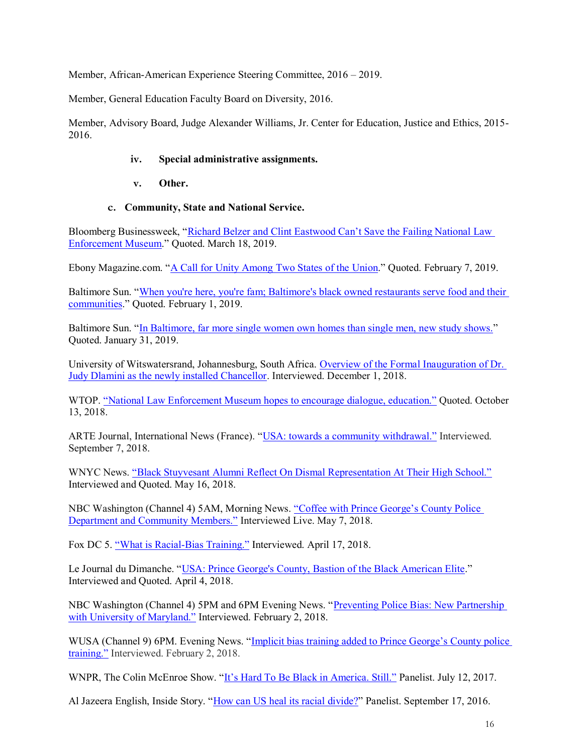Member, African-American Experience Steering Committee, 2016 – 2019.

Member, General Education Faculty Board on Diversity, 2016.

Member, Advisory Board, Judge Alexander Williams, Jr. Center for Education, Justice and Ethics, 2015- 2016.

## **iv. Special administrative assignments.**

- **v. Other.**
- **c. Community, State and National Service.**

Bloomberg Businessweek, "Richard Belzer and Clint Eastwood Can't Save the Failing National Law Enforcement Museum." Quoted. March 18, 2019.

Ebony Magazine.com. "A Call for Unity Among Two States of the Union." Quoted. February 7, 2019.

Baltimore Sun. "When you're here, you're fam; Baltimore's black owned restaurants serve food and their communities." Quoted. February 1, 2019.

Baltimore Sun. "In Baltimore, far more single women own homes than single men, new study shows." Quoted. January 31, 2019.

University of Witswatersrand, Johannesburg, South Africa. Overview of the Formal Inauguration of Dr. Judy Dlamini as the newly installed Chancellor. Interviewed. December 1, 2018.

WTOP. "National Law Enforcement Museum hopes to encourage dialogue, education." Quoted. October 13, 2018.

ARTE Journal, International News (France). "USA: towards a community withdrawal." Interviewed. September 7, 2018.

WNYC News. "Black Stuyvesant Alumni Reflect On Dismal Representation At Their High School." Interviewed and Quoted. May 16, 2018.

NBC Washington (Channel 4) 5AM, Morning News. "Coffee with Prince George's County Police Department and Community Members." Interviewed Live. May 7, 2018.

Fox DC 5. "What is Racial-Bias Training." Interviewed. April 17, 2018.

Le Journal du Dimanche. "USA: Prince George's County, Bastion of the Black American Elite." Interviewed and Quoted. April 4, 2018.

NBC Washington (Channel 4) 5PM and 6PM Evening News. "Preventing Police Bias: New Partnership with University of Maryland." Interviewed. February 2, 2018.

WUSA (Channel 9) 6PM. Evening News. "Implicit bias training added to Prince George's County police training." Interviewed. February 2, 2018.

WNPR, The Colin McEnroe Show. "It's Hard To Be Black in America. Still." Panelist. July 12, 2017.

Al Jazeera English, Inside Story. "How can US heal its racial divide?" Panelist. September 17, 2016.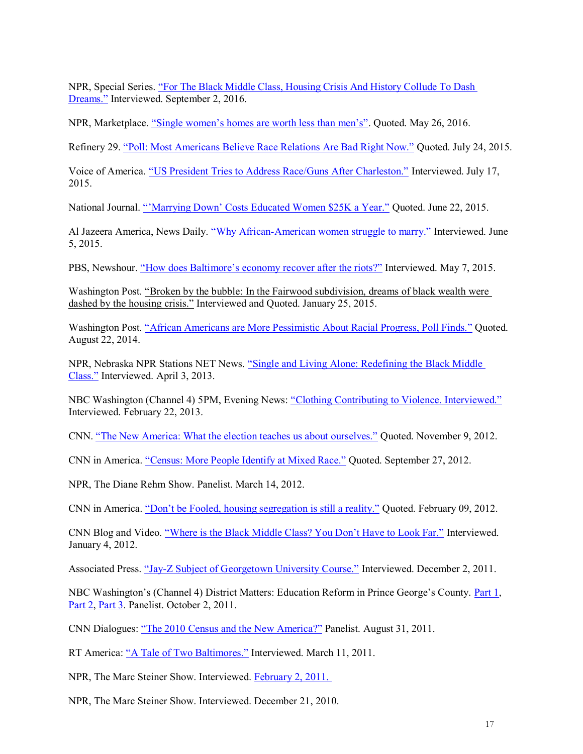NPR, Special Series. "For The Black Middle Class, Housing Crisis And History Collude To Dash Dreams." Interviewed. September 2, 2016.

NPR, Marketplace. "Single women's homes are worth less than men's". Quoted. May 26, 2016.

Refinery 29. "Poll: Most Americans Believe Race Relations Are Bad Right Now." Quoted. July 24, 2015.

Voice of America. "US President Tries to Address Race/Guns After Charleston." Interviewed. July 17, 2015.

National Journal. "'Marrying Down' Costs Educated Women \$25K a Year." Quoted. June 22, 2015.

Al Jazeera America, News Daily. "Why African-American women struggle to marry." Interviewed. June 5, 2015.

PBS, Newshour. "How does Baltimore's economy recover after the riots?" Interviewed. May 7, 2015.

Washington Post. "Broken by the bubble: In the Fairwood subdivision, dreams of black wealth were dashed by the housing crisis." Interviewed and Quoted. January 25, 2015.

Washington Post. "African Americans are More Pessimistic About Racial Progress, Poll Finds." Quoted. August 22, 2014.

NPR, Nebraska NPR Stations NET News. "Single and Living Alone: Redefining the Black Middle Class." Interviewed. April 3, 2013.

NBC Washington (Channel 4) 5PM, Evening News: "Clothing Contributing to Violence. Interviewed." Interviewed. February 22, 2013.

CNN. "The New America: What the election teaches us about ourselves." Quoted. November 9, 2012.

CNN in America. "Census: More People Identify at Mixed Race." Quoted. September 27, 2012.

NPR, The Diane Rehm Show. Panelist. March 14, 2012.

CNN in America. "Don't be Fooled, housing segregation is still a reality." Quoted. February 09, 2012.

CNN Blog and Video. "Where is the Black Middle Class? You Don't Have to Look Far." Interviewed. January 4, 2012.

Associated Press. "Jay-Z Subject of Georgetown University Course." Interviewed. December 2, 2011.

NBC Washington's (Channel 4) District Matters: Education Reform in Prince George's County. Part 1, Part 2, Part 3. Panelist. October 2, 2011.

CNN Dialogues: "The 2010 Census and the New America?" Panelist. August 31, 2011.

RT America: "A Tale of Two Baltimores." Interviewed. March 11, 2011.

NPR, The Marc Steiner Show. Interviewed. February 2, 2011.

NPR, The Marc Steiner Show. Interviewed. December 21, 2010.